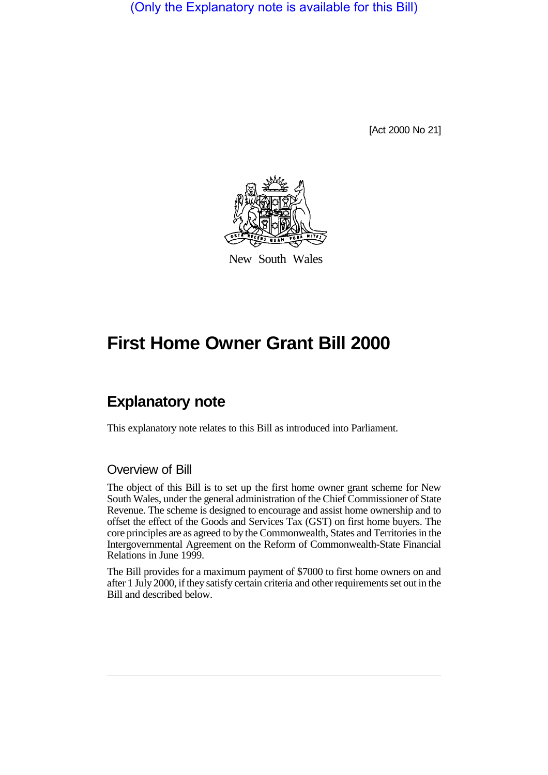(Only the Explanatory note is available for this Bill)

[Act 2000 No 21]



New South Wales

# **First Home Owner Grant Bill 2000**

## **Explanatory note**

This explanatory note relates to this Bill as introduced into Parliament.

## Overview of Bill

The object of this Bill is to set up the first home owner grant scheme for New South Wales, under the general administration of the Chief Commissioner of State Revenue. The scheme is designed to encourage and assist home ownership and to offset the effect of the Goods and Services Tax (GST) on first home buyers. The core principles are as agreed to by the Commonwealth, States and Territories in the Intergovernmental Agreement on the Reform of Commonwealth-State Financial Relations in June 1999.

The Bill provides for a maximum payment of \$7000 to first home owners on and after 1 July 2000, if they satisfy certain criteria and other requirements set out in the Bill and described below.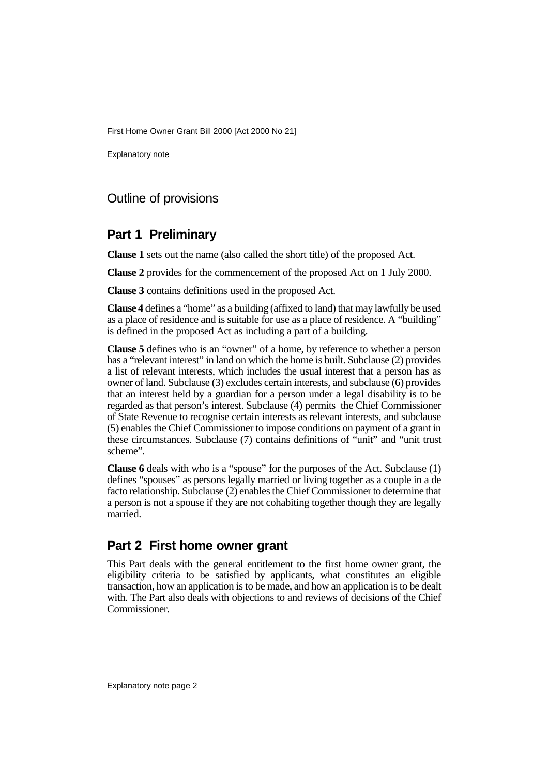Explanatory note

## Outline of provisions

## **Part 1 Preliminary**

**Clause 1** sets out the name (also called the short title) of the proposed Act.

**Clause 2** provides for the commencement of the proposed Act on 1 July 2000.

**Clause 3** contains definitions used in the proposed Act.

**Clause 4** defines a "home" as a building (affixed to land) that may lawfully be used as a place of residence and is suitable for use as a place of residence. A "building" is defined in the proposed Act as including a part of a building.

**Clause 5** defines who is an "owner" of a home, by reference to whether a person has a "relevant interest" in land on which the home is built. Subclause (2) provides a list of relevant interests, which includes the usual interest that a person has as owner of land. Subclause (3) excludes certain interests, and subclause (6) provides that an interest held by a guardian for a person under a legal disability is to be regarded as that person's interest. Subclause (4) permits the Chief Commissioner of State Revenue to recognise certain interests as relevant interests, and subclause (5) enables the Chief Commissioner to impose conditions on payment of a grant in these circumstances. Subclause (7) contains definitions of "unit" and "unit trust scheme".

**Clause 6** deals with who is a "spouse" for the purposes of the Act. Subclause (1) defines "spouses" as persons legally married or living together as a couple in a de facto relationship. Subclause (2) enables the Chief Commissioner to determine that a person is not a spouse if they are not cohabiting together though they are legally married.

## **Part 2 First home owner grant**

This Part deals with the general entitlement to the first home owner grant, the eligibility criteria to be satisfied by applicants, what constitutes an eligible transaction, how an application is to be made, and how an application is to be dealt with. The Part also deals with objections to and reviews of decisions of the Chief Commissioner.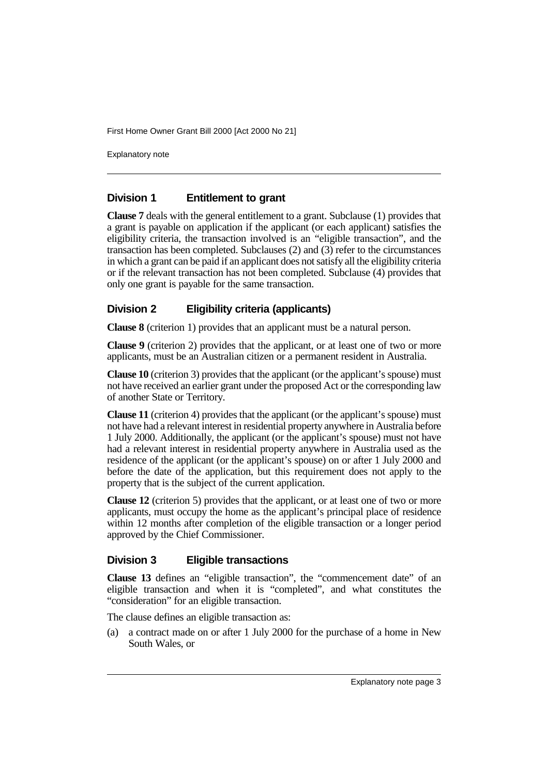Explanatory note

## **Division 1 Entitlement to grant**

**Clause 7** deals with the general entitlement to a grant. Subclause (1) provides that a grant is payable on application if the applicant (or each applicant) satisfies the eligibility criteria, the transaction involved is an "eligible transaction", and the transaction has been completed. Subclauses (2) and (3) refer to the circumstances in which a grant can be paid if an applicant does not satisfy all the eligibility criteria or if the relevant transaction has not been completed. Subclause (4) provides that only one grant is payable for the same transaction.

#### **Division 2 Eligibility criteria (applicants)**

**Clause 8** (criterion 1) provides that an applicant must be a natural person.

**Clause 9** (criterion 2) provides that the applicant, or at least one of two or more applicants, must be an Australian citizen or a permanent resident in Australia.

**Clause 10** (criterion 3) provides that the applicant (or the applicant's spouse) must not have received an earlier grant under the proposed Act or the corresponding law of another State or Territory.

**Clause 11** (criterion 4) provides that the applicant (or the applicant's spouse) must not have had a relevant interest in residential property anywhere in Australia before 1 July 2000. Additionally, the applicant (or the applicant's spouse) must not have had a relevant interest in residential property anywhere in Australia used as the residence of the applicant (or the applicant's spouse) on or after 1 July 2000 and before the date of the application, but this requirement does not apply to the property that is the subject of the current application.

**Clause 12** (criterion 5) provides that the applicant, or at least one of two or more applicants, must occupy the home as the applicant's principal place of residence within 12 months after completion of the eligible transaction or a longer period approved by the Chief Commissioner.

#### **Division 3 Eligible transactions**

**Clause 13** defines an "eligible transaction", the "commencement date" of an eligible transaction and when it is "completed", and what constitutes the "consideration" for an eligible transaction.

The clause defines an eligible transaction as:

(a) a contract made on or after 1 July 2000 for the purchase of a home in New South Wales, or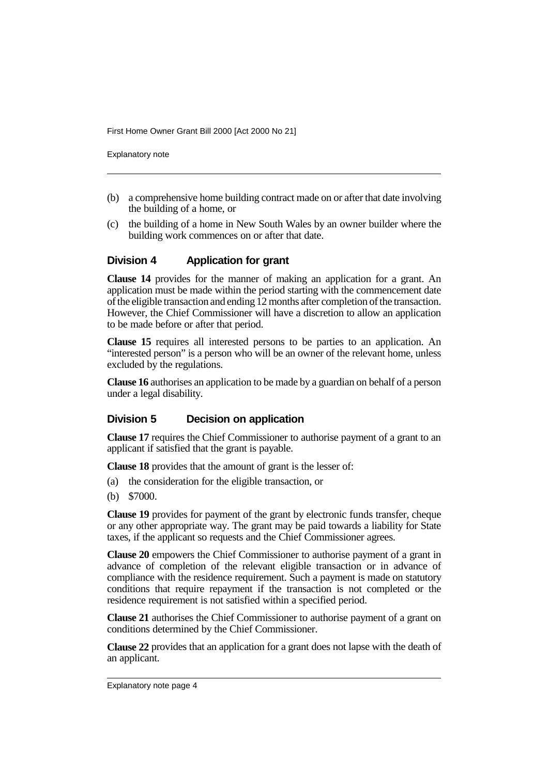Explanatory note

- (b) a comprehensive home building contract made on or after that date involving the building of a home, or
- (c) the building of a home in New South Wales by an owner builder where the building work commences on or after that date.

#### **Division 4 Application for grant**

**Clause 14** provides for the manner of making an application for a grant. An application must be made within the period starting with the commencement date of the eligible transaction and ending 12 months after completion of the transaction. However, the Chief Commissioner will have a discretion to allow an application to be made before or after that period.

**Clause 15** requires all interested persons to be parties to an application. An "interested person" is a person who will be an owner of the relevant home, unless excluded by the regulations.

**Clause 16** authorises an application to be made by a guardian on behalf of a person under a legal disability.

#### **Division 5 Decision on application**

**Clause 17** requires the Chief Commissioner to authorise payment of a grant to an applicant if satisfied that the grant is payable.

**Clause 18** provides that the amount of grant is the lesser of:

- (a) the consideration for the eligible transaction, or
- (b) \$7000.

**Clause 19** provides for payment of the grant by electronic funds transfer, cheque or any other appropriate way. The grant may be paid towards a liability for State taxes, if the applicant so requests and the Chief Commissioner agrees.

**Clause 20** empowers the Chief Commissioner to authorise payment of a grant in advance of completion of the relevant eligible transaction or in advance of compliance with the residence requirement. Such a payment is made on statutory conditions that require repayment if the transaction is not completed or the residence requirement is not satisfied within a specified period.

**Clause 21** authorises the Chief Commissioner to authorise payment of a grant on conditions determined by the Chief Commissioner.

**Clause 22** provides that an application for a grant does not lapse with the death of an applicant.

Explanatory note page 4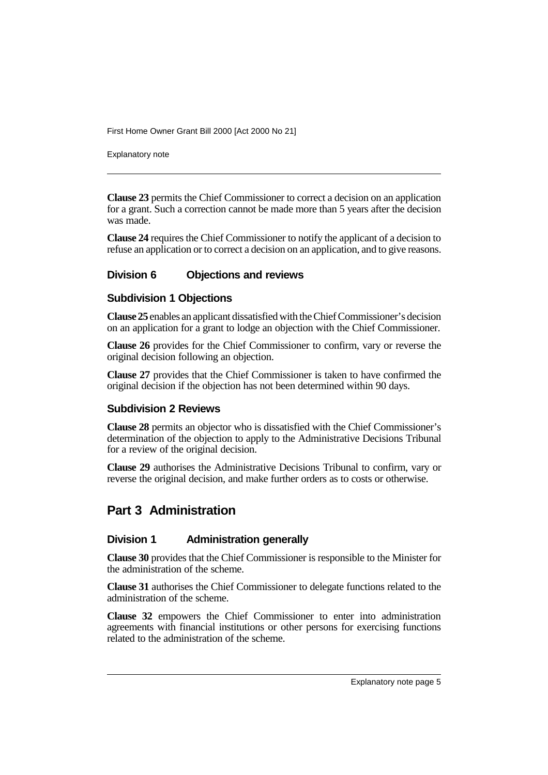Explanatory note

**Clause 23** permits the Chief Commissioner to correct a decision on an application for a grant. Such a correction cannot be made more than 5 years after the decision was made.

**Clause 24** requires the Chief Commissioner to notify the applicant of a decision to refuse an application or to correct a decision on an application, and to give reasons.

#### **Division 6 Objections and reviews**

#### **Subdivision 1 Objections**

**Clause 25** enables an applicant dissatisfied with the Chief Commissioner's decision on an application for a grant to lodge an objection with the Chief Commissioner.

**Clause 26** provides for the Chief Commissioner to confirm, vary or reverse the original decision following an objection.

**Clause 27** provides that the Chief Commissioner is taken to have confirmed the original decision if the objection has not been determined within 90 days.

#### **Subdivision 2 Reviews**

**Clause 28** permits an objector who is dissatisfied with the Chief Commissioner's determination of the objection to apply to the Administrative Decisions Tribunal for a review of the original decision.

**Clause 29** authorises the Administrative Decisions Tribunal to confirm, vary or reverse the original decision, and make further orders as to costs or otherwise.

## **Part 3 Administration**

#### **Division 1 Administration generally**

**Clause 30** provides that the Chief Commissioner is responsible to the Minister for the administration of the scheme.

**Clause 31** authorises the Chief Commissioner to delegate functions related to the administration of the scheme.

**Clause 32** empowers the Chief Commissioner to enter into administration agreements with financial institutions or other persons for exercising functions related to the administration of the scheme.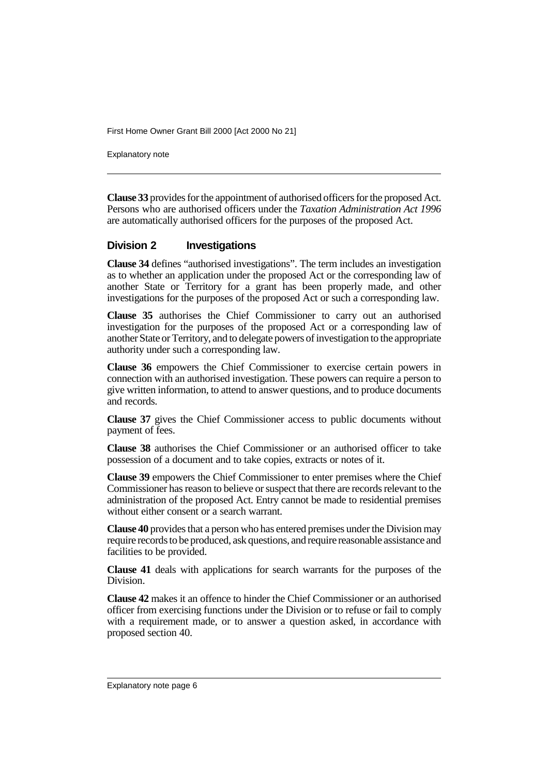Explanatory note

**Clause 33** provides for the appointment of authorised officers for the proposed Act. Persons who are authorised officers under the *Taxation Administration Act 1996* are automatically authorised officers for the purposes of the proposed Act.

#### **Division 2 Investigations**

**Clause 34** defines "authorised investigations". The term includes an investigation as to whether an application under the proposed Act or the corresponding law of another State or Territory for a grant has been properly made, and other investigations for the purposes of the proposed Act or such a corresponding law.

**Clause 35** authorises the Chief Commissioner to carry out an authorised investigation for the purposes of the proposed Act or a corresponding law of another State or Territory, and to delegate powers of investigation to the appropriate authority under such a corresponding law.

**Clause 36** empowers the Chief Commissioner to exercise certain powers in connection with an authorised investigation. These powers can require a person to give written information, to attend to answer questions, and to produce documents and records.

**Clause 37** gives the Chief Commissioner access to public documents without payment of fees.

**Clause 38** authorises the Chief Commissioner or an authorised officer to take possession of a document and to take copies, extracts or notes of it.

**Clause 39** empowers the Chief Commissioner to enter premises where the Chief Commissioner has reason to believe or suspect that there are records relevant to the administration of the proposed Act. Entry cannot be made to residential premises without either consent or a search warrant.

**Clause 40** provides that a person who has entered premises under the Division may require records to be produced, ask questions, and require reasonable assistance and facilities to be provided.

**Clause 41** deals with applications for search warrants for the purposes of the Division.

**Clause 42** makes it an offence to hinder the Chief Commissioner or an authorised officer from exercising functions under the Division or to refuse or fail to comply with a requirement made, or to answer a question asked, in accordance with proposed section 40.